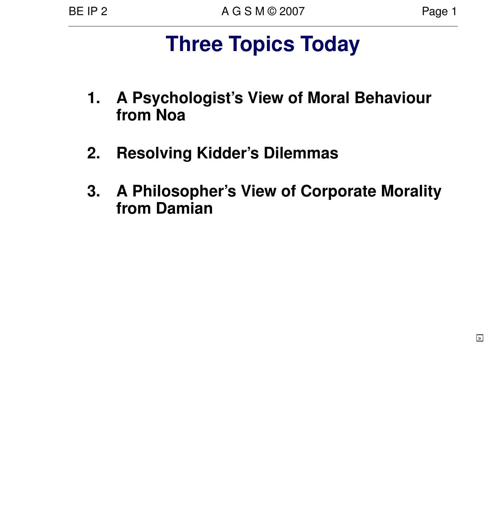**>**

# **Three Topics Today**

- **1. A Psychologist's View of Moral Behaviour from Noa**
- **2. Resolving Kidder's Dilemmas**
- **3. A Philosopher's View of Corporate Morality from Damian**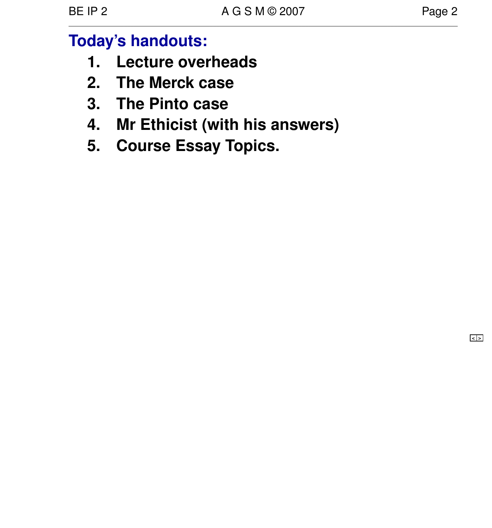# **Today's handouts:**

- **1. Lecture overheads**
- **2. The Merck case**
- **3. The Pinto case**
- **4. Mr Ethicist (with his answers)**
- **5. Course Essay Topics.**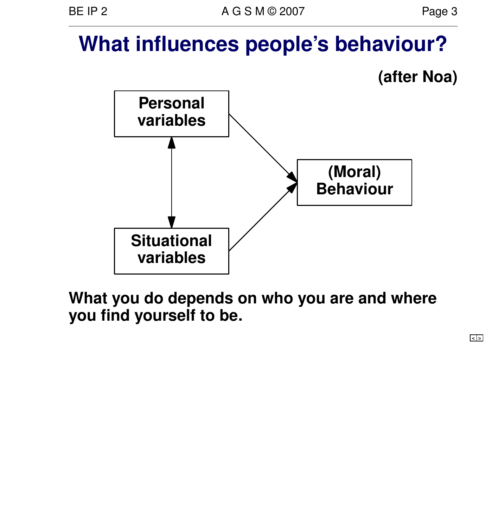# **What influences people's behaviour?**





**What you do depends on who you are and where you find yourself to be.**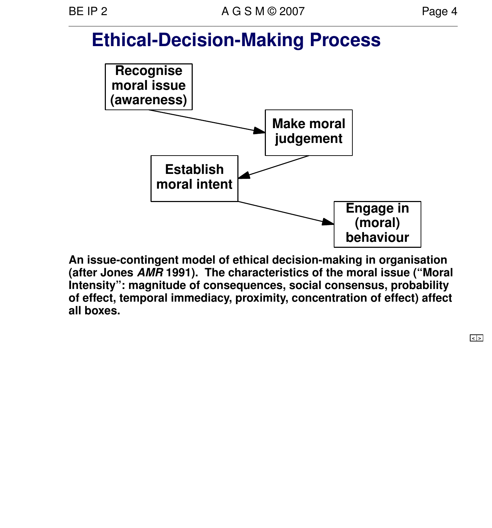# **Ethical-Decision-Making Process**



**An issue-contingent model of ethical decision-making in organisation (after Jones AMR 1991). The characteristics of the moral issue ("Moral Intensity": magnitude of consequences, social consensus, probability of effect, temporal immediacy, proximity, concentration of effect) affect all boxes.**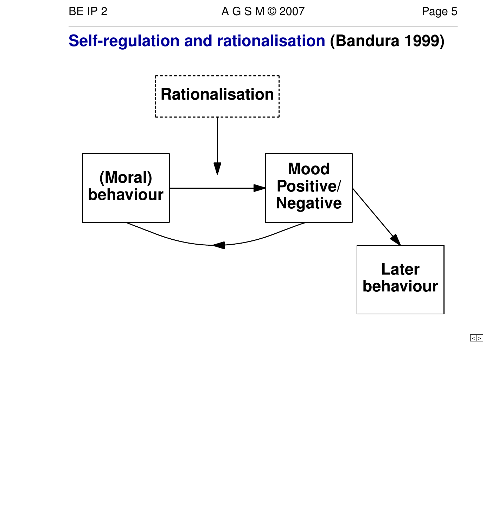# **Self-regulation and rationalisation (Bandura 1999)**



**< >**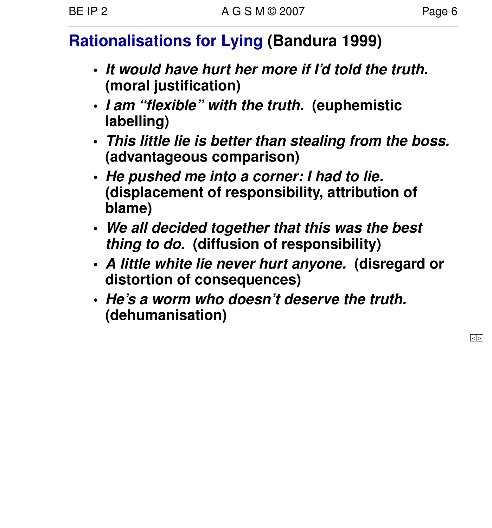# **Rationalisations for Lying (Bandura 1999)**

- **• It would have hurt her more if I'd told the truth. (moral justification)**
- **• I am "flexible" with the truth. (euphemistic labelling)**
- **• This little lie is better than stealing from the boss. (advantageous comparison)**
- **• He pushed me into a corner: I had to lie. (displacement of responsibility, attribution of blame)**
- **• We all decided together that this was the best thing to do. (diffusion of responsibility)**
- **• A little white lie never hurt anyone . (disregard or distor tion of consequences)**
- **• He'saworm who doesn't deserve the truth. (dehumanisation)**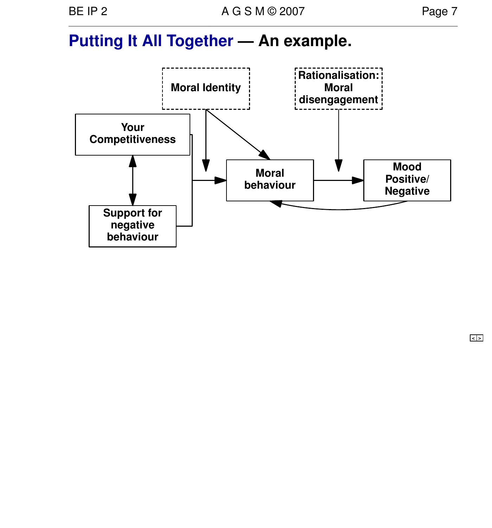## **Putting It All Together — An example.**



**< >**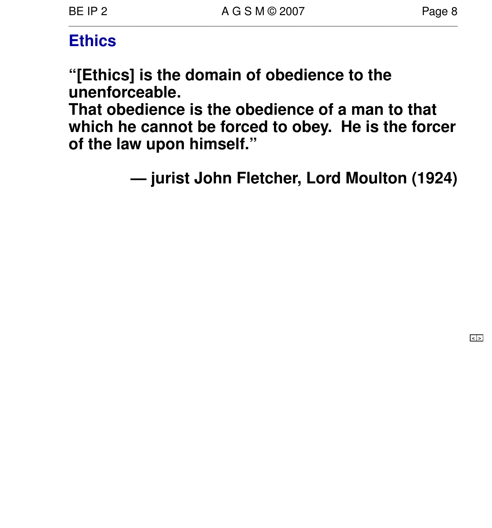## **Ethics**

**"[Ethics] is the domain of obedience to the unenforceable .**

**That obedience is the obedience of a man to that which he cannot be forced to obey. He is the forcer of the law upon himself."**

**— jurist John Fletcher, Lord Moulton (1924)**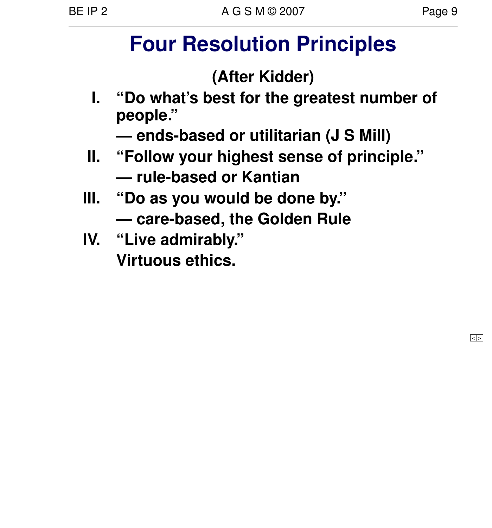# **Four Resolution Principles**

# **(After Kidder)**

**I. "Do what's best for the greatest number of people ."**

**— ends-based or utilitarian (J S Mill)**

- **II. "Follow your highest sense of principle." — rule-based or Kantian**
- **III. "Do as you would be done by." — care-based, the Golden Rule**
- **IV. "Live admirably." Vir tuous ethics.**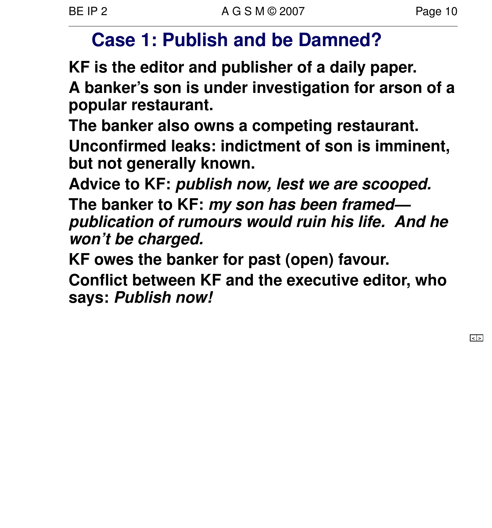# **Case 1: Publish and be Damned?**

**KF is the editor and publisher of a daily paper.**

**A banker's son is under investigation for arson of a popular restaurant.**

**The banker also owns a competing restaurant. Unconfirmed leaks: indictment of son is imminent, but not generally known.**

**Advice to KF: publish now, lest we are scooped.**

**The banker to KF: my son has been framed publication of rumours would ruin his life. And he won't be charged.**

**KF owes the banker for past (open) favour.**

**Conflict between KF and the executive editor, who says: Publish now!**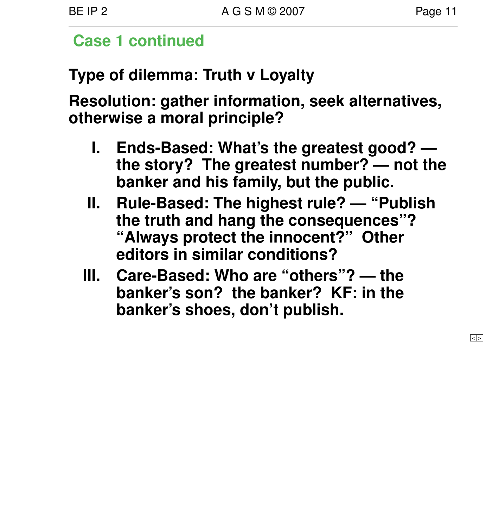#### **Case 1 continued**

# **Type of dilemma: Truth v Loyalty**

**Resolution: gather information, seek alternatives, otherwise a moral principle?**

- **I. Ends-Based: What's the greatest good? the story? The greatest number? — not the banker and his family, but the public.**
- **II. Rule-Based: The highest rule? "Publish the truth and hang the consequences"? "Always protect the innocent?" Other editors in similar conditions?**
- **III. Care-Based: Who are "others"? the banker's son? the banker? KF: in the banker's shoes, don't publish.**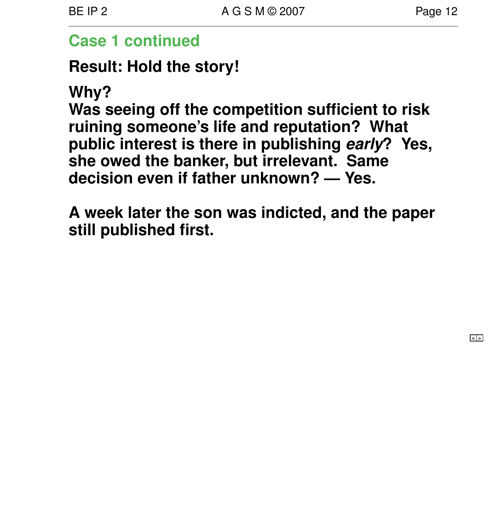#### **Case 1 continued**

**Result: Hold the story!**

**Why?**

**Was seeing off the competition sufficient to risk ruining someone's life and reputation? What public interest is there in publishing early? Yes, she owed the banker, but irrelevant. Same decision even if father unknown? — Yes.**

**A week later the son was indicted, and the paper still published first.**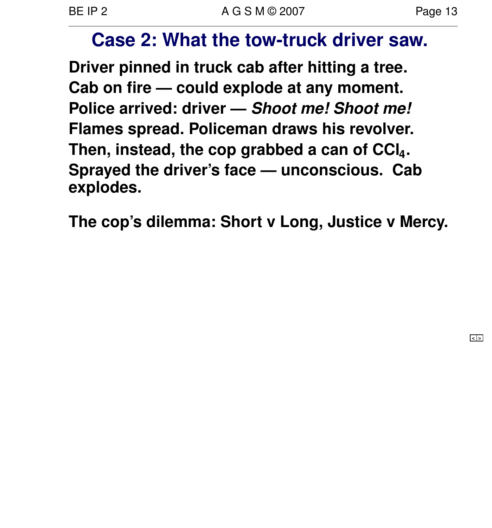# **Case 2: What the tow-truck driver saw.**

**Driver pinned in truck cab after hitting a tree. Cab on fire — could explode at any moment. Police arrived: driver — Shoot me! Shoot me! Flames spread. Policeman draws his revolver. Then, instead, the cop grabbed a can of CCl<sup>4</sup> . Sprayed the driver's face — unconscious. Cab explodes.**

The cop's dilemma: Short v Long, Justice v Mercy.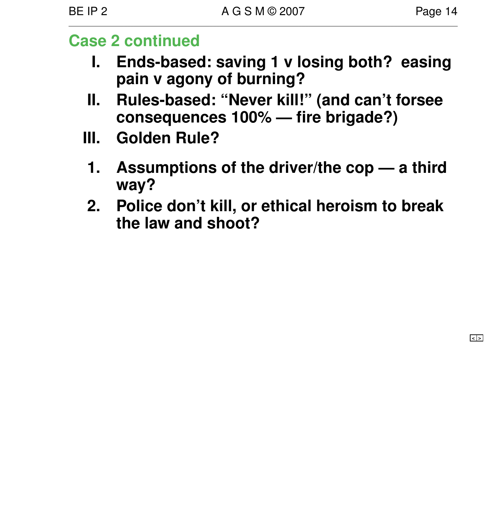## **Case 2 continued**

- **I. Ends-based: saving 1 v losing both? easing pain v agony of burning?**
- **II. Rules-based: "Never kill!" (and can't forsee consequences 100% — fire brigade?)**
- **III. Golden Rule?**
	- **1. Assumptions of the driver/the cop a third way?**
- **2. Police don't kill, or ethical heroism to break the law and shoot?**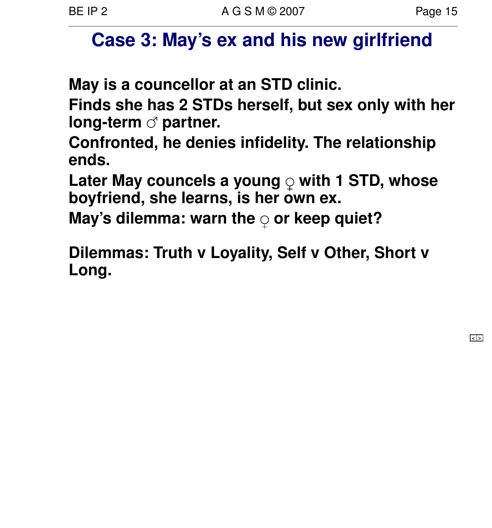# **Case 3: May's ex and his new girlfriend**

**May is a councellor at an STD clinic.**

**Finds she has 2 STDs herself, but sex only with her long-term**  $\sigma$  partner.

**Confronted, he denies infidelity. The relationship ends.**

Later May councels a young  $\circ$  with 1 STD, whose **boyfriend, she learns, is her own ex.**

**May's dilemma: warn the or keep quiet?**

**Dilemmas: Truth v Loyality, Self v Other, Short v Long.**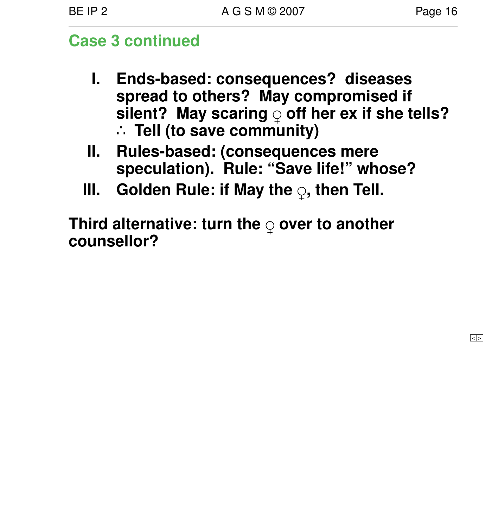## **Case 3 continued**

- **I. Ends-based: consequences? diseases spread to others? May compromised if** silent? May scaring of ther ex if she tells? ∴ **Tell (to save community)**
- **II. Rules-based: (consequences mere speculation). Rule: "Save life!" whose?**
- **III.** Golden Rule: if May the  $\varphi$ , then Tell.

**Third alternative: turn the over to another counsellor?**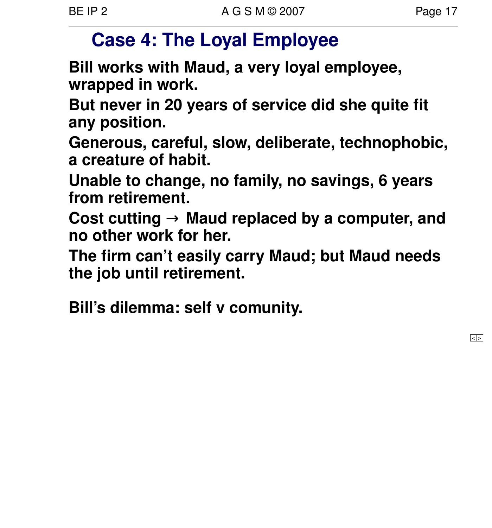# **Case 4: The Loyal Employee**

**Bill works with Maud, a very loyal employee, wrapped in work.**

**But never in 20 years of ser vice did she quite fit any position.**

**Generous, careful, slow, deliberate , technophobic, a creature of habit.**

Unable to change, no family, no savings, 6 years **from retirement.**

Cost cutting → Maud replaced by a computer, and **no other work for her.**

The firm can't easily carry Maud; but Maud needs **the job until retirement.**

**Bill's dilemma: self v comunity.**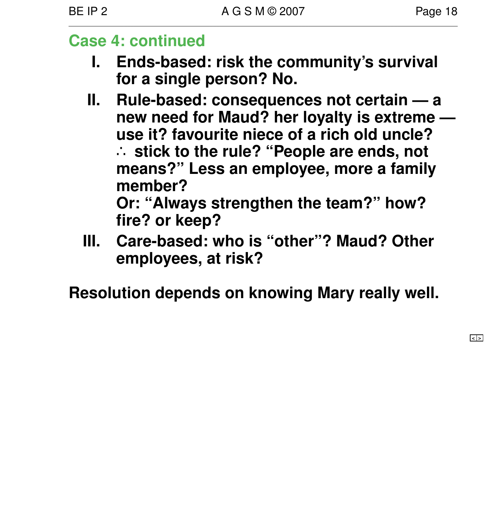#### **Case 4: continued**

- **I.** Ends-based: risk the community's survival for a single person? No.
- **II. Rule-based: consequences not certain a new need for Maud? her loyalty is extreme use it? favourite niece of a rich old uncle?** ∴ **stick to the rule? "People are ends, not means?" Less an employee, more a family member? Or: "Always strengthen the team?" how? fire? or keep?**
- **III. Care-based: who is "other"? Maud? Other employees, at risk?**

**Resolution depends on knowing Mary really well.**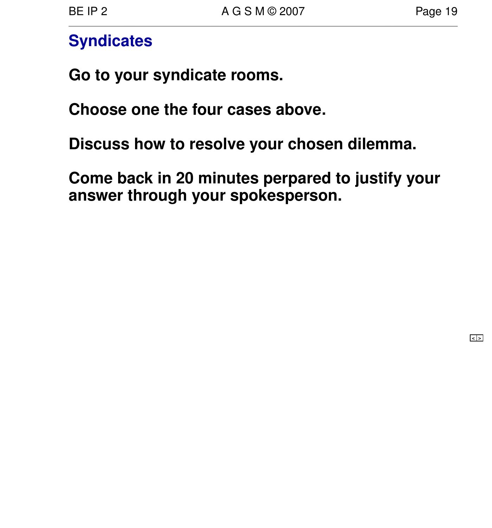## **Syndicates**

**Go to your syndicate rooms.**

**Choose one the four cases above.** 

**Discuss how to resolve your chosen dilemma.**

**Come back in 20 minutes perpared to justify your answer through your spokesperson.**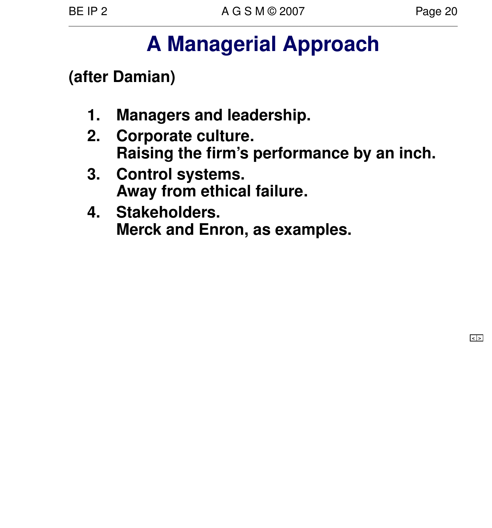# **A Managerial Approach**

**(after Damian)**

- **1. Managers and leadership.**
- **2. Corporate culture . Raising the firm's performance by an inch.**
- **3. Control systems. Away from ethical failure.**
- **4. Stakeholders. Merck and Enron, as examples.**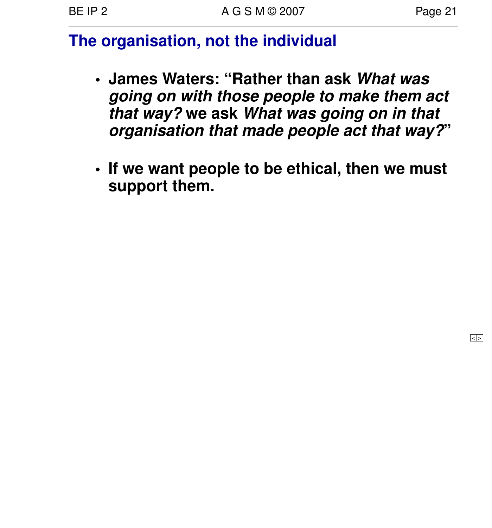# **The organisation, not the individual**

- **• James Waters: "Rather than ask What was going on with those people to make them act that way? we ask What was going on in that organisation that made people act that way?"**
- **• If we want people to be ethical, then we must** support them.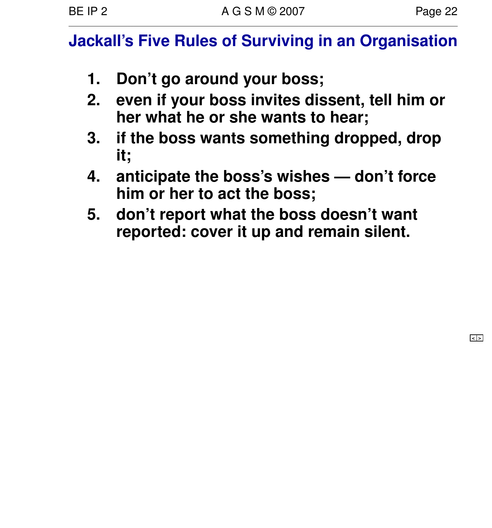# **Jackall's Five Rules of Surviving in an Organisation**

- **1. Don't go around your boss;**
- **2. even if your boss invites dissent, tell him or her what he or she wants to hear;**
- **3. if the boss wants something dropped, drop it;**
- **4. anticipate the boss's wishes don't force him or her to act the boss;**
- **5.** don't report what the boss doesn't want **repor ted: cover it up and remain silent.**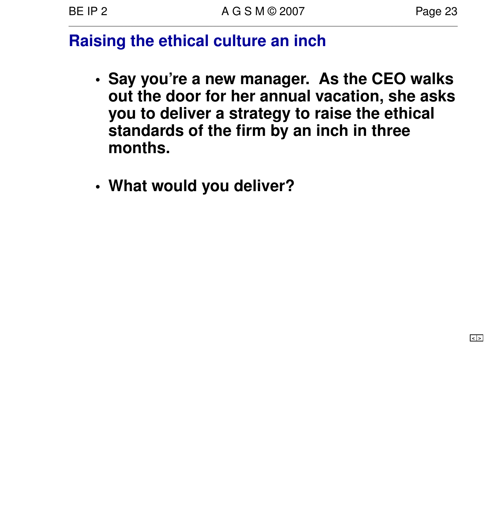# **Raising the ethical culture an inch**

- **• Say you're a new manager. As the CEO walks out the door for her annual vacation, she asks you to deliver a strategy to raise the ethical standards of the firm by an inch in three months.**
- **• What would you deliver?**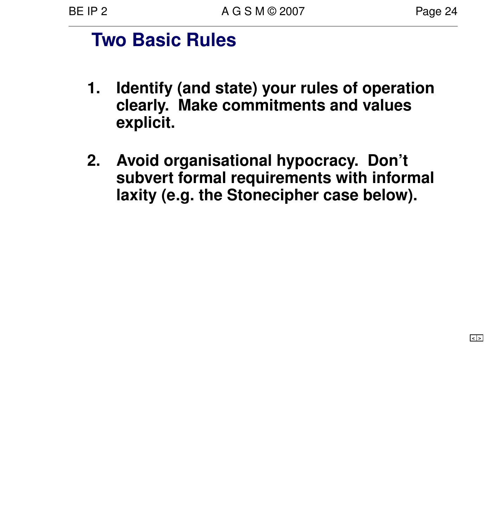# **Two Basic Rules**

- **1. Identify (and state) your rules of operation clearly. Make commitments and values explicit.**
- **2. Avoid organisational hypocracy. Don't** subvert formal requirements with informal **laxity (e.g. the Stonecipher case below).**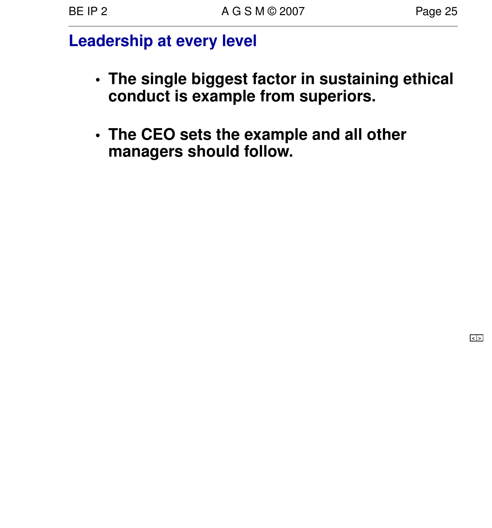## **Leadership at every level**

- **• The single biggest factor in sustaining ethical conduct is example from superiors.**
- **• The CEO sets the example and all other managers should follow.**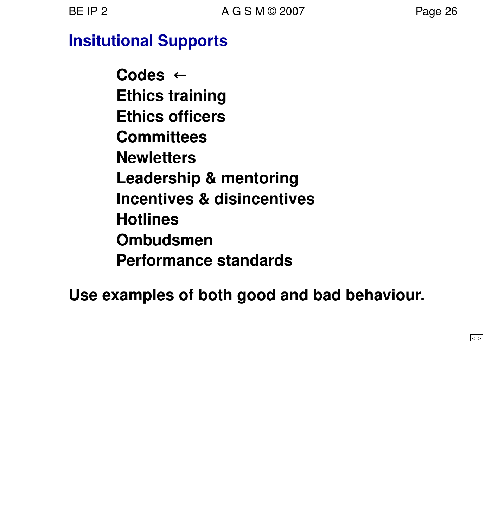# **Insitutional Supports**

**Codes** ← **Ethics training Ethics officers Committees Newletters Leadership & mentoring Incentives & disincentives Hotlines Ombudsmen Performance standards**

**Use examples of both good and bad behaviour.**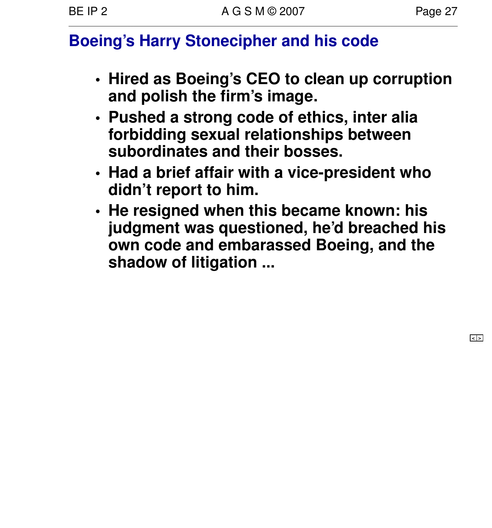# **Boeing's Harry Stonecipher and his code**

- **• Hired as Boeing's CEO to clean up corruption and polish the firm's image .**
- **• Pushed a strong code of ethics, inter alia forbidding sexual relationships between subordinates and their bosses.**
- **• Had a brief affair with a vice-president who didn't report to him.**
- **• He resigned when this became known: his judgment was questioned, he'd breached his own code and embarassed Boeing, and the shadow of litigation ...**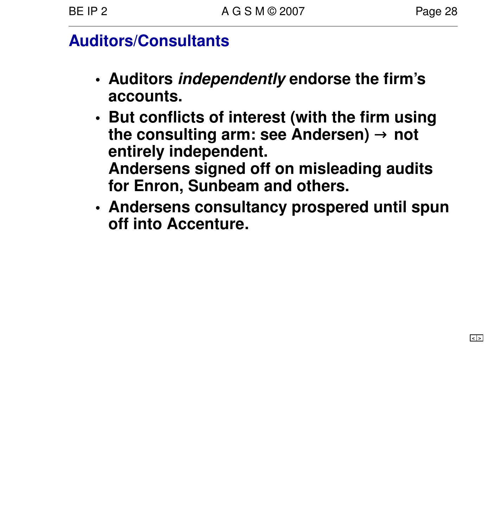# **Auditors/Consultants**

- **• Auditors independently endorse the firm's accounts.**
- **• But conflicts of interest (with the firm using the consulting arm: see Andersen)** → **not entirely independent. Andersens signed off on misleading audits for Enron, Sunbeam and others.**
- **• Andersens consultancy prospered until spun off into Accenture.**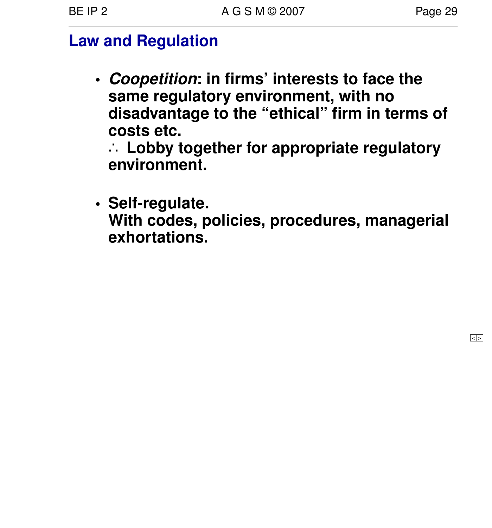#### **Law and Regulation**

**• Coopetition: in firms' interests to face the same regulatory environment, with no disadvantage to the "ethical" firm in terms of costs etc.**

∴ **Lobby tog ether for appropriate regulatory environment.**

**• Self-regulate . With codes, policies, procedures, managerial exhortations.**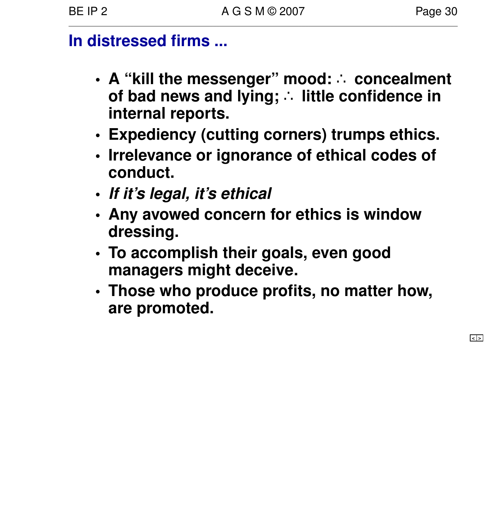# **In distressed firms ...**

- **• A "kill the messenger" mood:** ∴ **concealment of bad news and lying;** ∴ **little confidence in internal reports.**
- **• Expediency (cutting corners) trumps ethics.**
- **• Irrelevance or ignorance of ethical codes of conduct.**
- **• If it's legal, it's ethical**
- **• Any avo wed concern for ethics is window dressing.**
- **• To accomplish their goals, even good managers might deceive.**
- **• Those who produce profits, no matter how, are promoted.**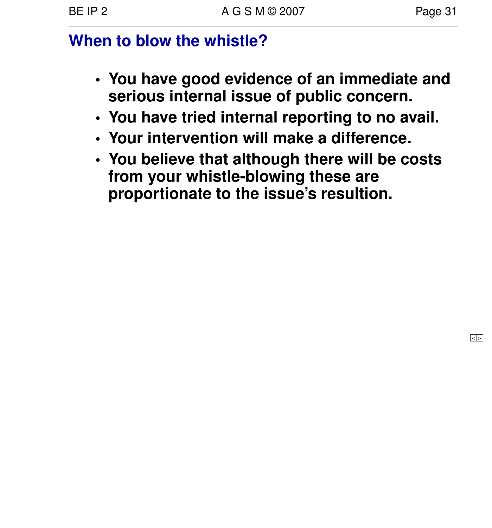# **When to blow the whistle?**

- **• You have good evidence of an immediate and serious internal issue of public concern.**
- **• You have tried internal reporting to no avail.**
- **• Your intervention will make a difference .**
- **• You believe that although there will be costs from your whistle-blowing these are propor tionate to the issue's resultion.**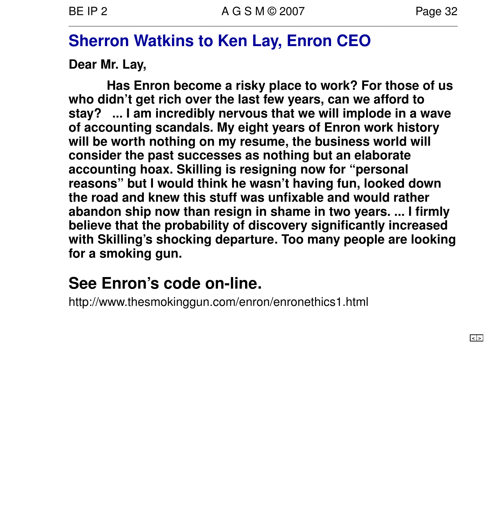# **Sherron Watkins to Ken Lay, Enron CEO**

**Dear Mr. Lay,**

**Has Enron become a risky place to work? For those of us who didn't get rich over the last few years, can we afford to stay? ... I am incredibly ner vous that we will implode in a wave of accounting scandals. My eight years of Enron work history** will be worth nothing on my resume, the business world will **consider the past successes as nothing but an elaborate accounting hoax. Skilling is resigning now for "personal reasons" but I would think he wasn't having fun, looked down the road and knew this stuff was unfixable and would rather abandon ship now than resign in shame in two years. ... I firmly believe that the probability of discovery significantly increased with Skilling's shocking departure . Too many people are looking** for a smoking gun.

# **See Enron's code on-line.**

http://www.thesmokinggun.com/enron/enronethics1.html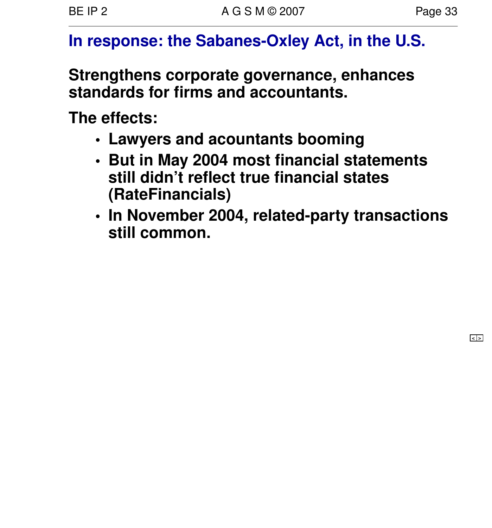# **In response: the Sabanes-Oxley Act, in the U.S.**

**Strengthens corporate governance, enhances standards for firms and accountants.**

**The effects:**

- **• Lawyers and acountants booming**
- **• But in May 2004 most financial statements still didn't reflect true financial states (RateFinancials)**
- **• In November 2004, related-party transactions still common.**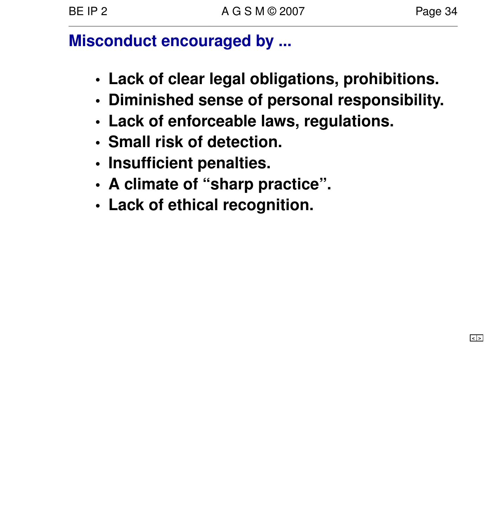# **Misconduct encouraged by ...**

- **• Lack of clear legal obligations, prohibitions.**
- **• Diminished sense of personal responsibility.**
- **• Lack of enforceable laws, regulations.**
- **• Small risk of detection.**
- **• Insufficient penalties.**
- **• A climate of "sharp practice".**
- **• Lack of ethical recognition.**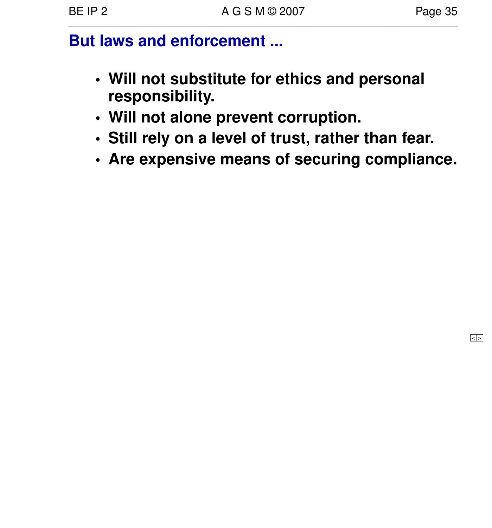#### **But laws and enforcement ...**

- **• Will not substitute for ethics and personal responsibility.**
- **• Will not alone prevent corruption.**
- **• Still rely on a level of trust, rather than fear.**
- **• Are expensive means of securing compliance.**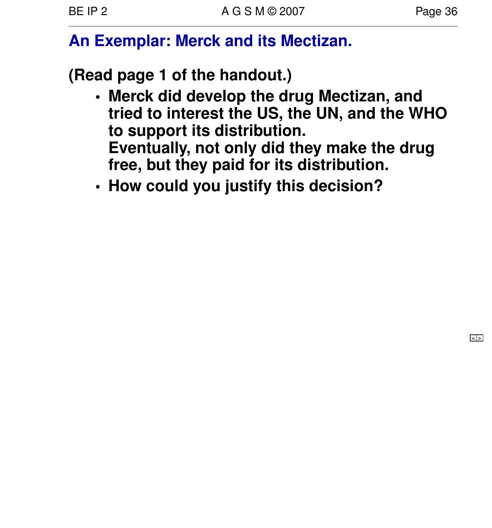# **An Exemplar: Merck and its Mectizan.**

**(Read page 1 of the handout.)**

- **• Merck did develop the drug Mectizan, and tried to interest the US, the UN, and the WHO to support its distribution. Eventually, not only did they make the drug** free, but they paid for its distribution.
- **• How could you justify this decision?**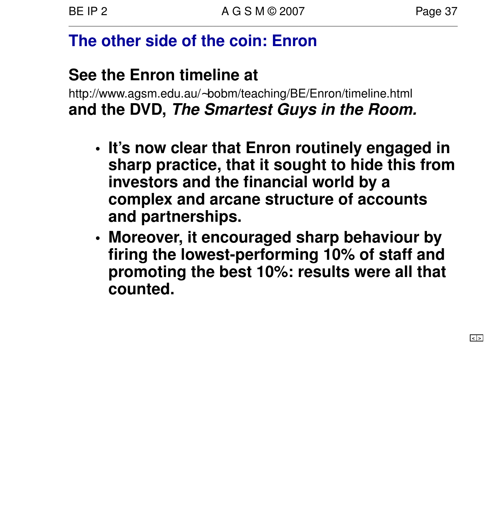# **The other side of the coin: Enron**

# **See the Enron timeline at**

http://www.agsm.edu.au/∼bobm/teaching/BE/Enron/timeline.html **and the DVD, The Smartest Guys in the Room.**

- **• It's now clear that Enron routinely engaged in sharp practice, that it sought to hide this from investors and the financial world by a complex and arcane structure of accounts and partnerships.**
- **• Moreover, it encouraged sharp behaviour by firing the lowest-performing 10% of staff and promoting the best 10%: results were all that counted.**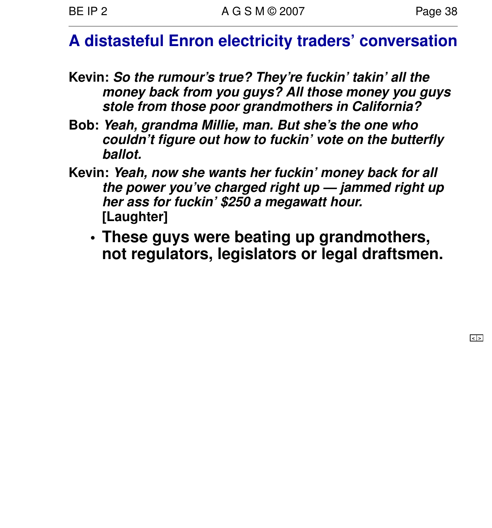# **A distasteful Enron electricity traders' conversation**

- **Kevin: So the rumour's true? They're fuckin' takin' all the money back from you guys? All those money you guys stole from those poor grandmothers in California?**
- **Bob: Yeah, grandma Millie, man. But she's the one who couldn't figure out how to fuckin' vote on the butterfly ballot.**
- **Kevin: Yeah, now she wants her fuckin' money back for all the power you've charged right up — jammed right up her ass for fuckin' \$250 a megawatt hour. [Laughter]**
	- **• These guys were beating up grandmothers, not regulators, legislators or legal draftsmen.**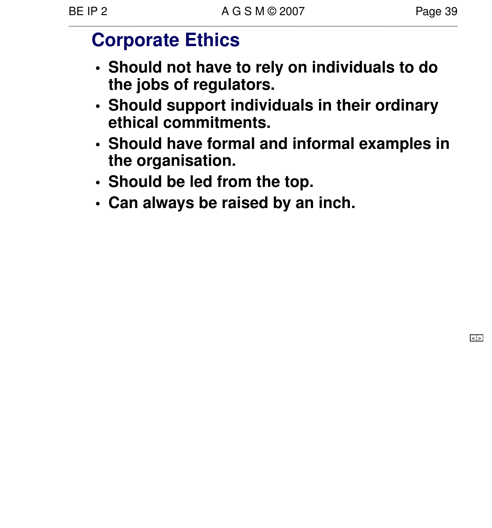# **Corporate Ethics**

- **• Should not have to rely on individuals to do the jobs of regulators.**
- **•** Should support individuals in their ordinary **ethical commitments.**
- **• Should have formal and informal examples in the organisation.**
- **• Should be led from the top.**
- **• Can always be raised by an inch.**